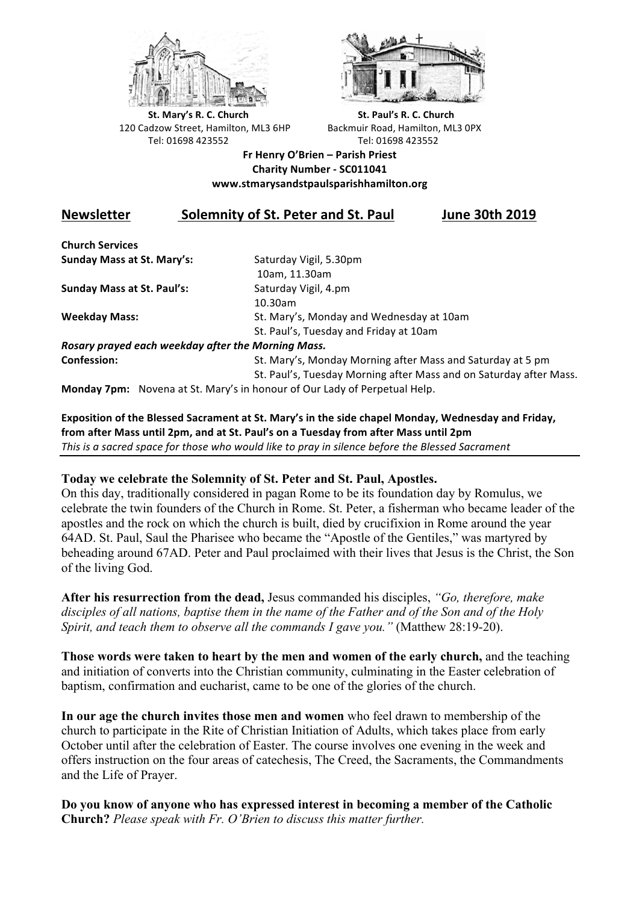



**St.** Mary's R. C. Church St. Paul's R. C. Church 120 Cadzow Street, Hamilton, ML3 6HP Backmuir Road, Hamilton, ML3 0PX Tel: 01698 423552 Tel: 01698 423552

## **Fr Henry O'Brien – Parish Priest Charity Number - SC011041 www.stmarysandstpaulsparishhamilton.org**

## **Newsletter Solemnity of St. Peter and St. Paul June 30th 2019**

**Church Services Sunday Mass at St. Mary's:** Saturday Vigil, 5.30pm

**Sunday Mass at St. Paul's:** Saturday Vigil, 4.pm

 10am, 11.30am 10.30am **Weekday Mass:** St. Mary's, Monday and Wednesday at 10am St. Paul's, Tuesday and Friday at 10am

*Rosary prayed each weekday after the Morning Mass.* **Confession:** St. Mary's, Monday Morning after Mass and Saturday at 5 pm

St. Paul's, Tuesday Morning after Mass and on Saturday after Mass.

**Monday 7pm:** Novena at St. Mary's in honour of Our Lady of Perpetual Help.

Exposition of the Blessed Sacrament at St. Mary's in the side chapel Monday, Wednesday and Friday, from after Mass until 2pm, and at St. Paul's on a Tuesday from after Mass until 2pm This is a sacred space for those who would like to pray in silence before the Blessed Sacrament

## **Today we celebrate the Solemnity of St. Peter and St. Paul, Apostles.**

On this day, traditionally considered in pagan Rome to be its foundation day by Romulus, we celebrate the twin founders of the Church in Rome. St. Peter, a fisherman who became leader of the apostles and the rock on which the church is built, died by crucifixion in Rome around the year 64AD. St. Paul, Saul the Pharisee who became the "Apostle of the Gentiles," was martyred by beheading around 67AD. Peter and Paul proclaimed with their lives that Jesus is the Christ, the Son of the living God.

**After his resurrection from the dead,** Jesus commanded his disciples, *"Go, therefore, make disciples of all nations, baptise them in the name of the Father and of the Son and of the Holy Spirit, and teach them to observe all the commands I gave you."* (Matthew 28:19-20).

**Those words were taken to heart by the men and women of the early church,** and the teaching and initiation of converts into the Christian community, culminating in the Easter celebration of baptism, confirmation and eucharist, came to be one of the glories of the church.

**In our age the church invites those men and women** who feel drawn to membership of the church to participate in the Rite of Christian Initiation of Adults, which takes place from early October until after the celebration of Easter. The course involves one evening in the week and offers instruction on the four areas of catechesis, The Creed, the Sacraments, the Commandments and the Life of Prayer.

**Do you know of anyone who has expressed interest in becoming a member of the Catholic Church?** *Please speak with Fr. O'Brien to discuss this matter further.*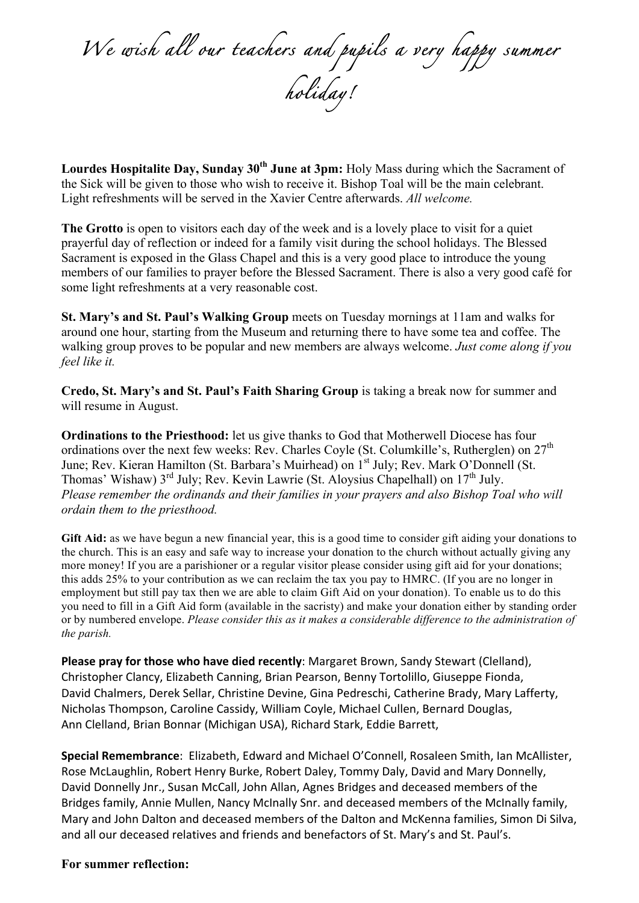*We wish all our teachers and pupils a very happy summer holiday!* 

**Lourdes Hospitalite Day, Sunday 30<sup>th</sup> June at 3pm:** Holy Mass during which the Sacrament of the Sick will be given to those who wish to receive it. Bishop Toal will be the main celebrant. Light refreshments will be served in the Xavier Centre afterwards. *All welcome.*

The Grotto is open to visitors each day of the week and is a lovely place to visit for a quiet prayerful day of reflection or indeed for a family visit during the school holidays. The Blessed Sacrament is exposed in the Glass Chapel and this is a very good place to introduce the young members of our families to prayer before the Blessed Sacrament. There is also a very good café for some light refreshments at a very reasonable cost.

**St. Mary's and St. Paul's Walking Group** meets on Tuesday mornings at 11am and walks for around one hour, starting from the Museum and returning there to have some tea and coffee. The walking group proves to be popular and new members are always welcome. *Just come along if you feel like it.*

**Credo, St. Mary's and St. Paul's Faith Sharing Group** is taking a break now for summer and will resume in August.

**Ordinations to the Priesthood:** let us give thanks to God that Motherwell Diocese has four ordinations over the next few weeks: Rev. Charles Coyle (St. Columkille's, Rutherglen) on  $27<sup>th</sup>$ June; Rev. Kieran Hamilton (St. Barbara's Muirhead) on 1<sup>st</sup> July; Rev. Mark O'Donnell (St. Thomas' Wishaw)  $3<sup>rd</sup>$  July; Rev. Kevin Lawrie (St. Aloysius Chapelhall) on  $17<sup>th</sup>$  July. *Please remember the ordinands and their families in your prayers and also Bishop Toal who will ordain them to the priesthood.*

**Gift Aid:** as we have begun a new financial year, this is a good time to consider gift aiding your donations to the church. This is an easy and safe way to increase your donation to the church without actually giving any more money! If you are a parishioner or a regular visitor please consider using gift aid for your donations; this adds 25% to your contribution as we can reclaim the tax you pay to HMRC. (If you are no longer in employment but still pay tax then we are able to claim Gift Aid on your donation). To enable us to do this you need to fill in a Gift Aid form (available in the sacristy) and make your donation either by standing order or by numbered envelope. *Please consider this as it makes a considerable difference to the administration of the parish.*

Please pray for those who have died recently: Margaret Brown, Sandy Stewart (Clelland), Christopher Clancy, Elizabeth Canning, Brian Pearson, Benny Tortolillo, Giuseppe Fionda, David Chalmers, Derek Sellar, Christine Devine, Gina Pedreschi, Catherine Brady, Mary Lafferty, Nicholas Thompson, Caroline Cassidy, William Coyle, Michael Cullen, Bernard Douglas, Ann Clelland, Brian Bonnar (Michigan USA), Richard Stark, Eddie Barrett,

**Special Remembrance**: Elizabeth, Edward and Michael O'Connell, Rosaleen Smith, Ian McAllister, Rose McLaughlin, Robert Henry Burke, Robert Daley, Tommy Daly, David and Mary Donnelly, David Donnelly Jnr., Susan McCall, John Allan, Agnes Bridges and deceased members of the Bridges family, Annie Mullen, Nancy McInally Snr. and deceased members of the McInally family, Mary and John Dalton and deceased members of the Dalton and McKenna families, Simon Di Silva, and all our deceased relatives and friends and benefactors of St. Mary's and St. Paul's.

## **For summer reflection:**